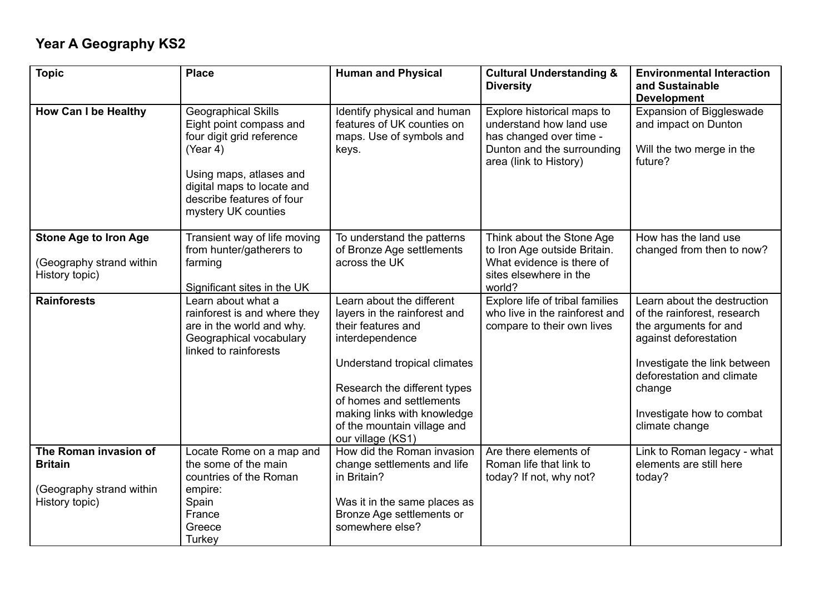## **Year A Geography KS2**

| <b>Topic</b>                                                                          | <b>Place</b>                                                                                                                                                                                         | <b>Human and Physical</b>                                                                                                                                                                                                                                                         | <b>Cultural Understanding &amp;</b><br><b>Diversity</b>                                                                                  | <b>Environmental Interaction</b><br>and Sustainable<br><b>Development</b>                                                                                                                                                          |
|---------------------------------------------------------------------------------------|------------------------------------------------------------------------------------------------------------------------------------------------------------------------------------------------------|-----------------------------------------------------------------------------------------------------------------------------------------------------------------------------------------------------------------------------------------------------------------------------------|------------------------------------------------------------------------------------------------------------------------------------------|------------------------------------------------------------------------------------------------------------------------------------------------------------------------------------------------------------------------------------|
| <b>How Can I be Healthy</b>                                                           | Geographical Skills<br>Eight point compass and<br>four digit grid reference<br>(Year 4)<br>Using maps, atlases and<br>digital maps to locate and<br>describe features of four<br>mystery UK counties | Identify physical and human<br>features of UK counties on<br>maps. Use of symbols and<br>keys.                                                                                                                                                                                    | Explore historical maps to<br>understand how land use<br>has changed over time -<br>Dunton and the surrounding<br>area (link to History) | <b>Expansion of Biggleswade</b><br>and impact on Dunton<br>Will the two merge in the<br>future?                                                                                                                                    |
| <b>Stone Age to Iron Age</b><br>(Geography strand within<br>History topic)            | Transient way of life moving<br>from hunter/gatherers to<br>farming<br>Significant sites in the UK                                                                                                   | To understand the patterns<br>of Bronze Age settlements<br>across the UK                                                                                                                                                                                                          | Think about the Stone Age<br>to Iron Age outside Britain.<br>What evidence is there of<br>sites elsewhere in the<br>world?               | How has the land use<br>changed from then to now?                                                                                                                                                                                  |
| <b>Rainforests</b>                                                                    | Learn about what a<br>rainforest is and where they<br>are in the world and why.<br>Geographical vocabulary<br>linked to rainforests                                                                  | Learn about the different<br>layers in the rainforest and<br>their features and<br>interdependence<br>Understand tropical climates<br>Research the different types<br>of homes and settlements<br>making links with knowledge<br>of the mountain village and<br>our village (KS1) | Explore life of tribal families<br>who live in the rainforest and<br>compare to their own lives                                          | Learn about the destruction<br>of the rainforest, research<br>the arguments for and<br>against deforestation<br>Investigate the link between<br>deforestation and climate<br>change<br>Investigate how to combat<br>climate change |
| The Roman invasion of<br><b>Britain</b><br>(Geography strand within<br>History topic) | Locate Rome on a map and<br>the some of the main<br>countries of the Roman<br>empire:<br>Spain<br>France<br>Greece<br>Turkey                                                                         | How did the Roman invasion<br>change settlements and life<br>in Britain?<br>Was it in the same places as<br>Bronze Age settlements or<br>somewhere else?                                                                                                                          | Are there elements of<br>Roman life that link to<br>today? If not, why not?                                                              | Link to Roman legacy - what<br>elements are still here<br>today?                                                                                                                                                                   |